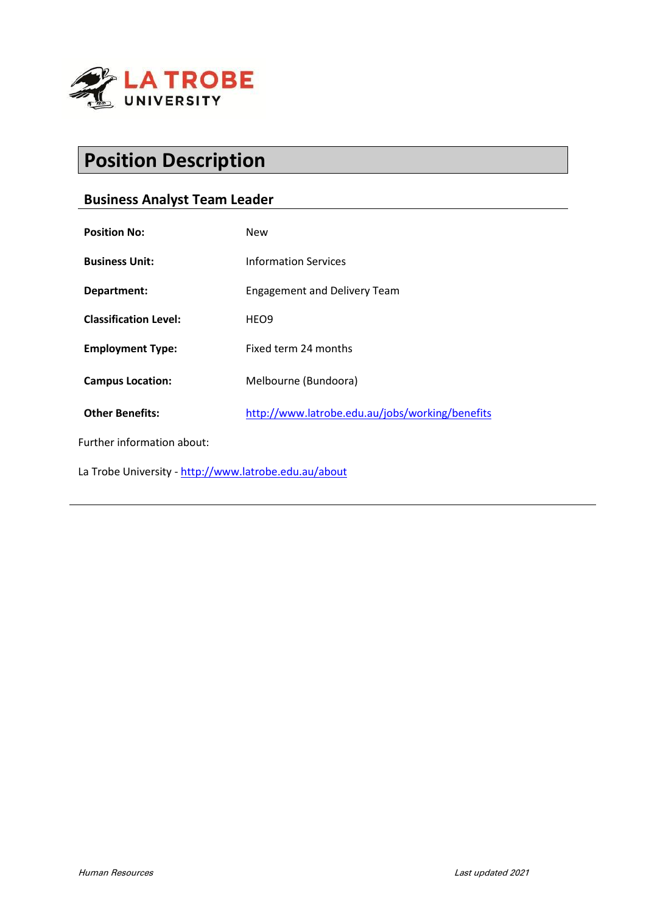

# **Position Description**

# **Business Analyst Team Leader**

| <b>Position No:</b>                                   | New                                             |
|-------------------------------------------------------|-------------------------------------------------|
| <b>Business Unit:</b>                                 | <b>Information Services</b>                     |
| Department:                                           | <b>Engagement and Delivery Team</b>             |
| <b>Classification Level:</b>                          | HEO <sub>9</sub>                                |
| <b>Employment Type:</b>                               | Fixed term 24 months                            |
| <b>Campus Location:</b>                               | Melbourne (Bundoora)                            |
| <b>Other Benefits:</b>                                | http://www.latrobe.edu.au/jobs/working/benefits |
| Further information about:                            |                                                 |
| La Trobe University - http://www.latrobe.edu.au/about |                                                 |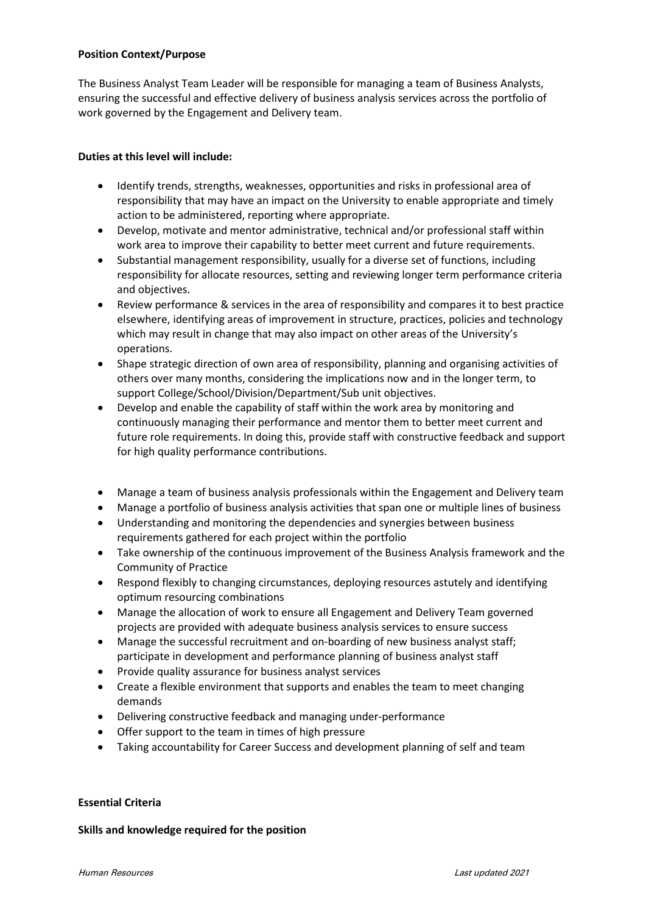# **Position Context/Purpose**

The Business Analyst Team Leader will be responsible for managing a team of Business Analysts, ensuring the successful and effective delivery of business analysis services across the portfolio of work governed by the Engagement and Delivery team.

# **Duties at this level will include:**

- Identify trends, strengths, weaknesses, opportunities and risks in professional area of responsibility that may have an impact on the University to enable appropriate and timely action to be administered, reporting where appropriate.
- Develop, motivate and mentor administrative, technical and/or professional staff within work area to improve their capability to better meet current and future requirements.
- Substantial management responsibility, usually for a diverse set of functions, including responsibility for allocate resources, setting and reviewing longer term performance criteria and objectives.
- Review performance & services in the area of responsibility and compares it to best practice elsewhere, identifying areas of improvement in structure, practices, policies and technology which may result in change that may also impact on other areas of the University's operations.
- Shape strategic direction of own area of responsibility, planning and organising activities of others over many months, considering the implications now and in the longer term, to support College/School/Division/Department/Sub unit objectives.
- Develop and enable the capability of staff within the work area by monitoring and continuously managing their performance and mentor them to better meet current and future role requirements. In doing this, provide staff with constructive feedback and support for high quality performance contributions.
- Manage a team of business analysis professionals within the Engagement and Delivery team
- Manage a portfolio of business analysis activities that span one or multiple lines of business
- Understanding and monitoring the dependencies and synergies between business requirements gathered for each project within the portfolio
- Take ownership of the continuous improvement of the Business Analysis framework and the Community of Practice
- Respond flexibly to changing circumstances, deploying resources astutely and identifying optimum resourcing combinations
- Manage the allocation of work to ensure all Engagement and Delivery Team governed projects are provided with adequate business analysis services to ensure success
- Manage the successful recruitment and on-boarding of new business analyst staff; participate in development and performance planning of business analyst staff
- Provide quality assurance for business analyst services
- Create a flexible environment that supports and enables the team to meet changing demands
- Delivering constructive feedback and managing under-performance
- Offer support to the team in times of high pressure
- Taking accountability for Career Success and development planning of self and team

# **Essential Criteria**

# **Skills and knowledge required for the position**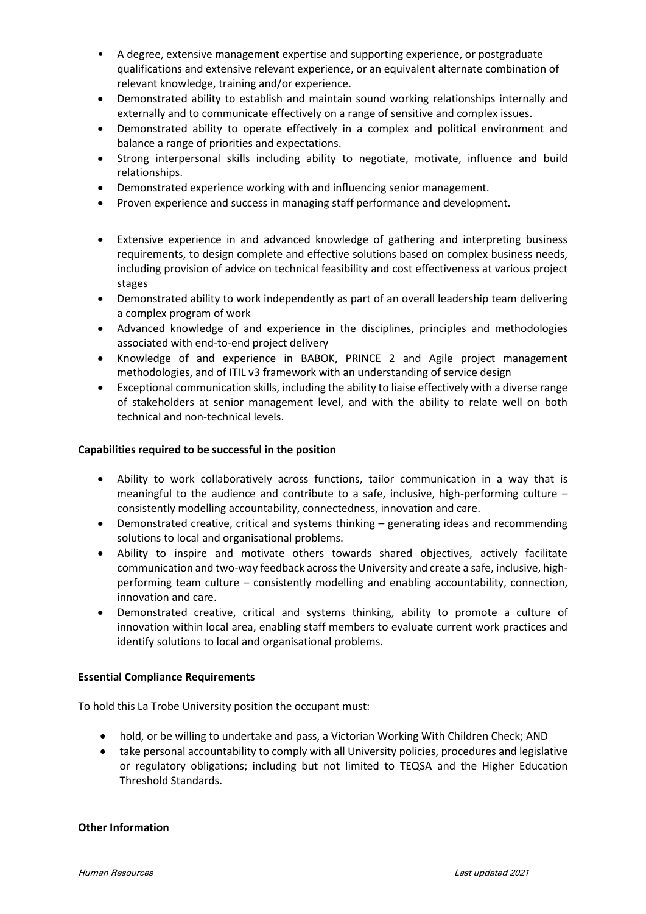- A degree, extensive management expertise and supporting experience, or postgraduate qualifications and extensive relevant experience, or an equivalent alternate combination of relevant knowledge, training and/or experience.
- Demonstrated ability to establish and maintain sound working relationships internally and externally and to communicate effectively on a range of sensitive and complex issues.
- Demonstrated ability to operate effectively in a complex and political environment and balance a range of priorities and expectations.
- Strong interpersonal skills including ability to negotiate, motivate, influence and build relationships.
- Demonstrated experience working with and influencing senior management.
- Proven experience and success in managing staff performance and development.
- Extensive experience in and advanced knowledge of gathering and interpreting business requirements, to design complete and effective solutions based on complex business needs, including provision of advice on technical feasibility and cost effectiveness at various project stages
- Demonstrated ability to work independently as part of an overall leadership team delivering a complex program of work
- Advanced knowledge of and experience in the disciplines, principles and methodologies associated with end-to-end project delivery
- Knowledge of and experience in BABOK, PRINCE 2 and Agile project management methodologies, and of ITIL v3 framework with an understanding of service design
- Exceptional communication skills, including the ability to liaise effectively with a diverse range of stakeholders at senior management level, and with the ability to relate well on both technical and non-technical levels.

# **Capabilities required to be successful in the position**

- Ability to work collaboratively across functions, tailor communication in a way that is meaningful to the audience and contribute to a safe, inclusive, high-performing culture – consistently modelling accountability, connectedness, innovation and care.
- Demonstrated creative, critical and systems thinking generating ideas and recommending solutions to local and organisational problems.
- Ability to inspire and motivate others towards shared objectives, actively facilitate communication and two-way feedback across the University and create a safe, inclusive, highperforming team culture – consistently modelling and enabling accountability, connection, innovation and care.
- Demonstrated creative, critical and systems thinking, ability to promote a culture of innovation within local area, enabling staff members to evaluate current work practices and identify solutions to local and organisational problems.

# **Essential Compliance Requirements**

To hold this La Trobe University position the occupant must:

- hold, or be willing to undertake and pass, a Victorian Working With Children Check; AND
- take personal accountability to comply with all University policies, procedures and legislative or regulatory obligations; including but not limited to TEQSA and the Higher Education Threshold Standards.

# **Other Information**